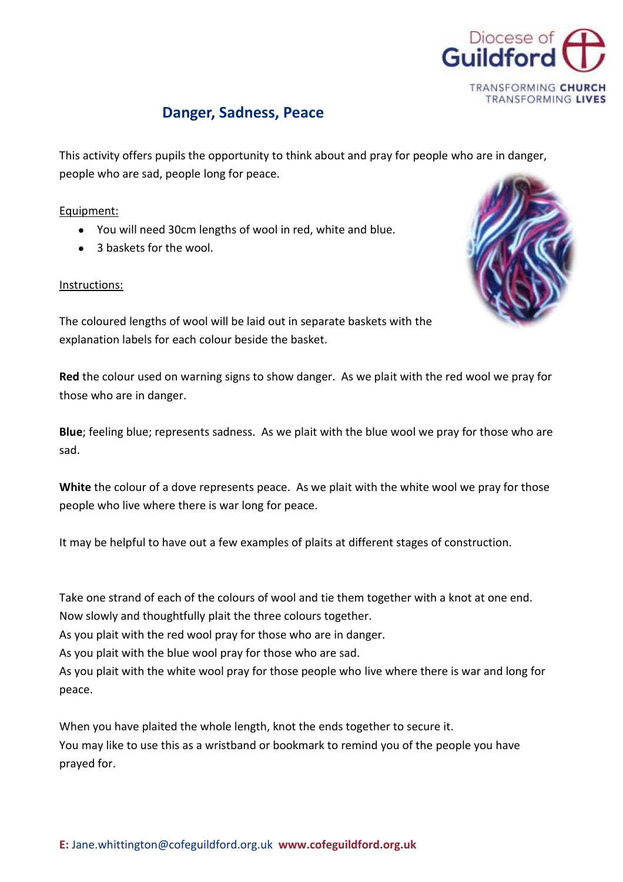

## **Danger, Sadness, Peace**

This activity offers pupils the opportunity to think about and pray for people who are in danger, people who are sad, people long for peace.

## Equipment:

- You will need 30cm lengths of wool in red, white and blue.
- 3 baskets for the wool.

## Instructions:



The coloured lengths of wool will be laid out in separate baskets with the explanation labels for each colour beside the basket.

**Red** the colour used on warning signs to show danger. As we plait with the red wool we pray for those who are in danger.

**Blue**; feeling blue; represents sadness. As we plait with the blue wool we pray for those who are sad.

**White** the colour of a dove represents peace. As we plait with the white wool we pray for those people who live where there is war long for peace.

It may be helpful to have out a few examples of plaits at different stages of construction.

Take one strand of each of the colours of wool and tie them together with a knot at one end.

Now slowly and thoughtfully plait the three colours together.

As you plait with the red wool pray for those who are in danger.

As you plait with the blue wool pray for those who are sad.

As you plait with the white wool pray for those people who live where there is war and long for peace.

When you have plaited the whole length, knot the ends together to secure it. You may like to use this as a wristband or bookmark to remind you of the people you have prayed for.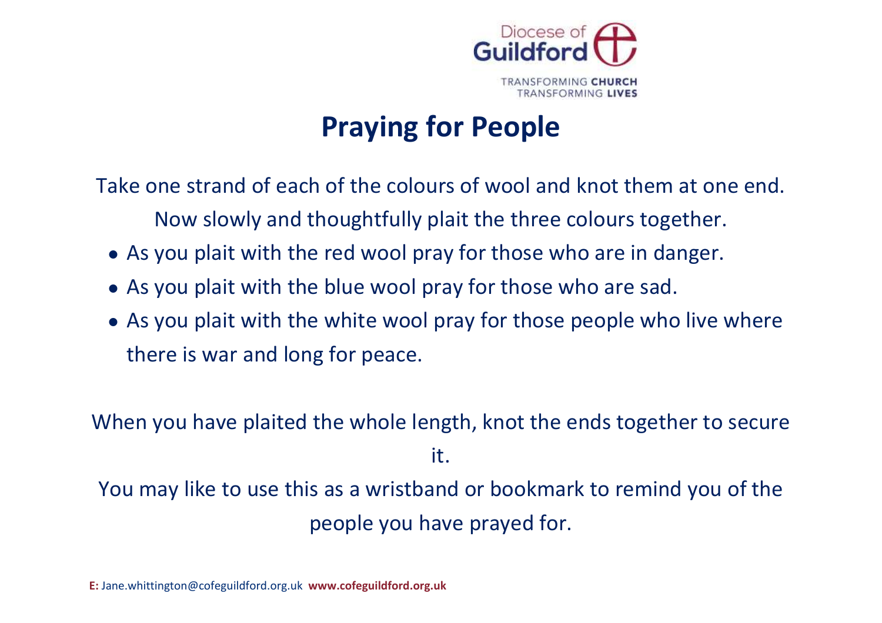

## **Praying for People**

Take one strand of each of the colours of wool and knot them at one end. Now slowly and thoughtfully plait the three colours together.

- As you plait with the red wool pray for those who are in danger.
- As you plait with the blue wool pray for those who are sad.
- As you plait with the white wool pray for those people who live where there is war and long for peace.

When you have plaited the whole length, knot the ends together to secure it. You may like to use this as a wristband or bookmark to remind you of the

people you have prayed for.